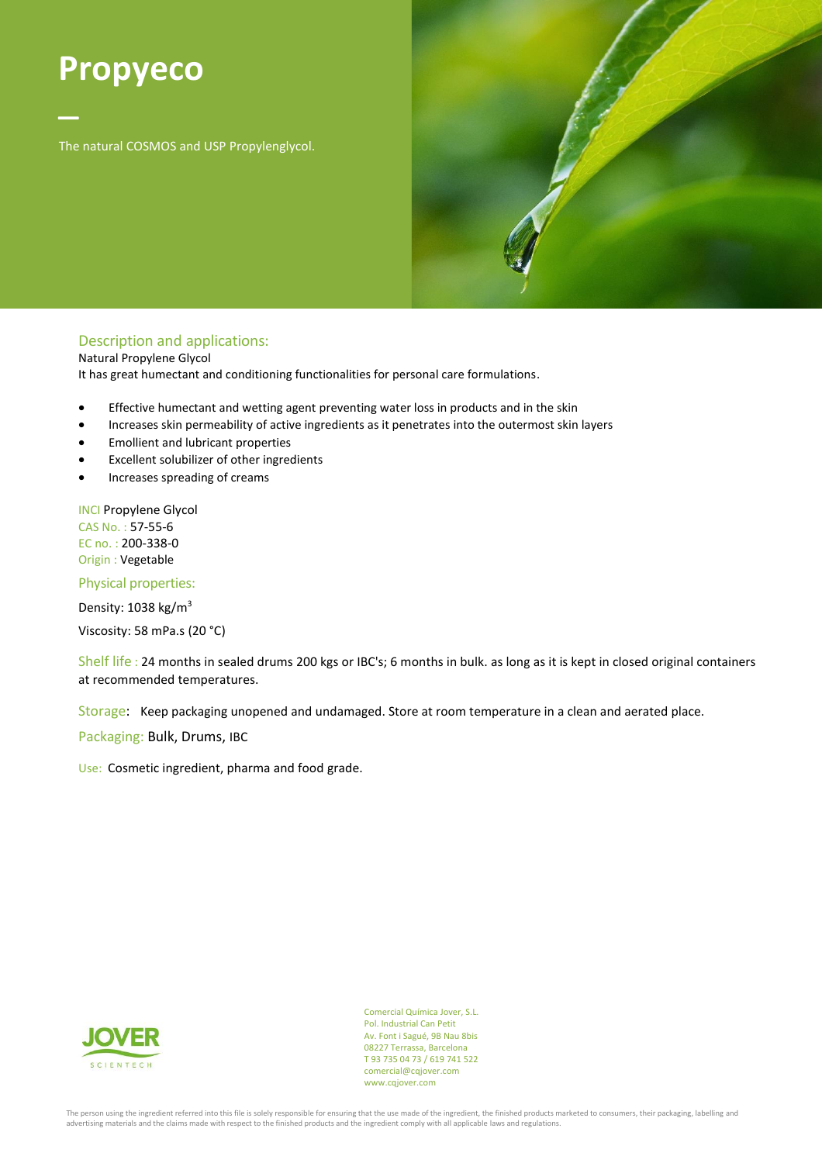## **Propyeco**

– The natural COSMOS and USP Propylenglycol.



## Description and applications:

Natural Propylene Glycol

It has great humectant and conditioning functionalities for personal care formulations.

- Effective humectant and wetting agent preventing water loss in products and in the skin
- Increases skin permeability of active ingredients as it penetrates into the outermost skin layers
- Emollient and lubricant properties
- Excellent solubilizer of other ingredients
- Increases spreading of creams

INCI Propylene Glycol CAS No. : 57-55-6 EC no. : 200-338-0 Origin : Vegetable

Physical properties:

Density: 1038 kg/m<sup>3</sup> Viscosity: 58 mPa.s (20 °C)

Shelf life : 24 months in sealed drums 200 kgs or IBC's; 6 months in bulk. as long as it is kept in closed original containers at recommended temperatures.

Storage: Keep packaging unopened and undamaged. Store at room temperature in a clean and aerated place.

Packaging: Bulk, Drums, IBC

Use: Cosmetic ingredient, pharma and food grade.



Comercial Química Jover, S.L. Pol. Industrial Can Petit Av. Font i Sagué, 9B Nau 8bis 08227 Terrassa, Barcelona T 93 735 04 73 / 619 741 522 comercial@cqjover.com www.cqjover.com

The person using the ingredient referred into this file is solely responsible for ensuring that the use made of the ingredient, the finished products marketed to consumers, their packaging, labelling and advertising materials and the claims made with respect to the finished products and the ingredient comply with all applicable laws and regulations.